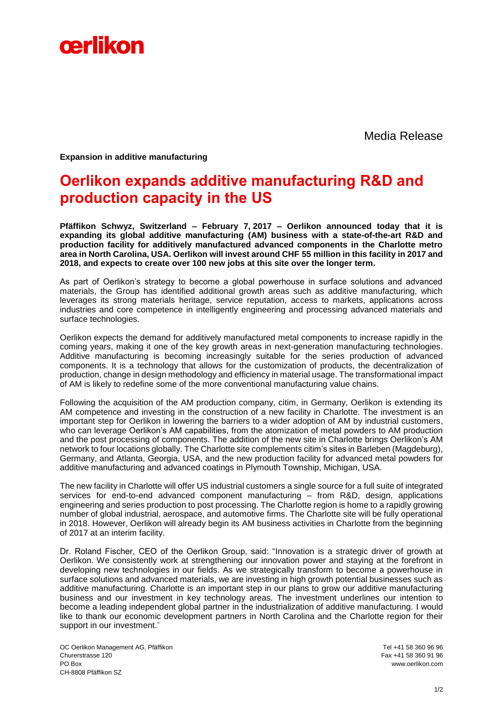

Media Release

**Expansion in additive manufacturing**

# **Oerlikon expands additive manufacturing R&D and production capacity in the US**

**Pfäffikon Schwyz, Switzerland – February 7, 2017 – Oerlikon announced today that it is expanding its global additive manufacturing (AM) business with a state-of-the-art R&D and production facility for additively manufactured advanced components in the Charlotte metro area in North Carolina, USA. Oerlikon will invest around CHF 55 million in this facility in 2017 and 2018, and expects to create over 100 new jobs at this site over the longer term.**

As part of Oerlikon's strategy to become a global powerhouse in surface solutions and advanced materials, the Group has identified additional growth areas such as additive manufacturing, which leverages its strong materials heritage, service reputation, access to markets, applications across industries and core competence in intelligently engineering and processing advanced materials and surface technologies.

Oerlikon expects the demand for additively manufactured metal components to increase rapidly in the coming years, making it one of the key growth areas in next-generation manufacturing technologies. Additive manufacturing is becoming increasingly suitable for the series production of advanced components. It is a technology that allows for the customization of products, the decentralization of production, change in design methodology and efficiency in material usage. The transformational impact of AM is likely to redefine some of the more conventional manufacturing value chains.

Following the acquisition of the AM production company, citim, in Germany, Oerlikon is extending its AM competence and investing in the construction of a new facility in Charlotte. The investment is an important step for Oerlikon in lowering the barriers to a wider adoption of AM by industrial customers, who can leverage Oerlikon's AM capabilities, from the atomization of metal powders to AM production and the post processing of components. The addition of the new site in Charlotte brings Oerlikon's AM network to four locations globally. The Charlotte site complements citim's sites in Barleben (Magdeburg), Germany, and Atlanta, Georgia, USA, and the new production facility for advanced metal powders for additive manufacturing and advanced coatings in Plymouth Township, Michigan, USA.

The new facility in Charlotte will offer US industrial customers a single source for a full suite of integrated services for end-to-end advanced component manufacturing – from R&D, design, applications engineering and series production to post processing. The Charlotte region is home to a rapidly growing number of global industrial, aerospace, and automotive firms. The Charlotte site will be fully operational in 2018. However, Oerlikon will already begin its AM business activities in Charlotte from the beginning of 2017 at an interim facility.

Dr. Roland Fischer, CEO of the Oerlikon Group, said: "Innovation is a strategic driver of growth at Oerlikon. We consistently work at strengthening our innovation power and staying at the forefront in developing new technologies in our fields. As we strategically transform to become a powerhouse in surface solutions and advanced materials, we are investing in high growth potential businesses such as additive manufacturing. Charlotte is an important step in our plans to grow our additive manufacturing business and our investment in key technology areas. The investment underlines our intention to become a leading independent global partner in the industrialization of additive manufacturing. I would like to thank our economic development partners in North Carolina and the Charlotte region for their support in our investment."